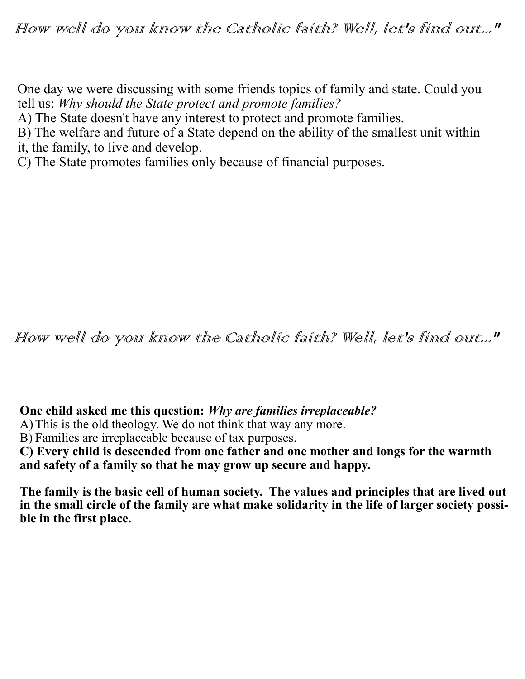How well do you know the Catholic faith? Well, let's find out..."

One day we were discussing with some friends topics of family and state. Could you tell us: *Why should the State protect and promote families?*

A) The State doesn't have any interest to protect and promote families.

B) The welfare and future of a State depend on the ability of the smallest unit within it, the family, to live and develop.

C) The State promotes families only because of financial purposes.

How well do you know the Catholic faith? Well, let's find out..."

**One child asked me this question:** *Why are families irreplaceable?*

A)This is the old theology. We do not think that way any more.

B) Families are irreplaceable because of tax purposes.

**C) Every child is descended from one father and one mother and longs for the warmth and safety of a family so that he may grow up secure and happy.** 

**The family is the basic cell of human society. The values and principles that are lived out in the small circle of the family are what make solidarity in the life of larger society possible in the first place.**